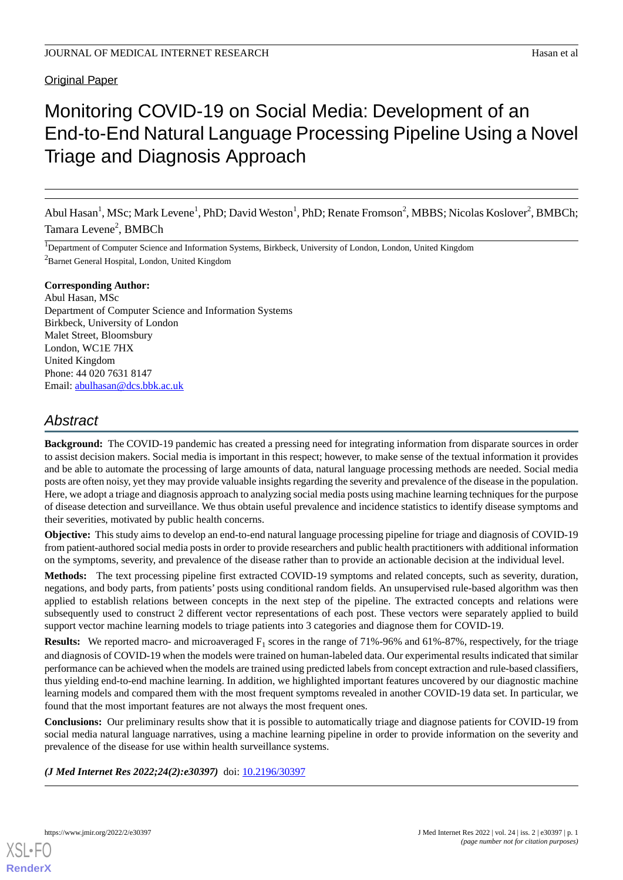### **Original Paper**

# Monitoring COVID-19 on Social Media: Development of an End-to-End Natural Language Processing Pipeline Using a Novel Triage and Diagnosis Approach

Abul Hasan<sup>1</sup>, MSc; Mark Levene<sup>1</sup>, PhD; David Weston<sup>1</sup>, PhD; Renate Fromson<sup>2</sup>, MBBS; Nicolas Koslover<sup>2</sup>, BMBCh; Tamara Levene<sup>2</sup>, BMBCh

<sup>1</sup>Department of Computer Science and Information Systems, Birkbeck, University of London, London, United Kingdom <sup>2</sup>Barnet General Hospital, London, United Kingdom

### **Corresponding Author:**

Abul Hasan, MSc Department of Computer Science and Information Systems Birkbeck, University of London Malet Street, Bloomsbury London, WC1E 7HX United Kingdom Phone: 44 020 7631 8147 Email: [abulhasan@dcs.bbk.ac.uk](mailto:abulhasan@dcs.bbk.ac.uk)

# *Abstract*

**Background:** The COVID-19 pandemic has created a pressing need for integrating information from disparate sources in order to assist decision makers. Social media is important in this respect; however, to make sense of the textual information it provides and be able to automate the processing of large amounts of data, natural language processing methods are needed. Social media posts are often noisy, yet they may provide valuable insights regarding the severity and prevalence of the disease in the population. Here, we adopt a triage and diagnosis approach to analyzing social media posts using machine learning techniques for the purpose of disease detection and surveillance. We thus obtain useful prevalence and incidence statistics to identify disease symptoms and their severities, motivated by public health concerns.

**Objective:** This study aims to develop an end-to-end natural language processing pipeline for triage and diagnosis of COVID-19 from patient-authored social media posts in order to provide researchers and public health practitioners with additional information on the symptoms, severity, and prevalence of the disease rather than to provide an actionable decision at the individual level.

**Methods:** The text processing pipeline first extracted COVID-19 symptoms and related concepts, such as severity, duration, negations, and body parts, from patients' posts using conditional random fields. An unsupervised rule-based algorithm was then applied to establish relations between concepts in the next step of the pipeline. The extracted concepts and relations were subsequently used to construct 2 different vector representations of each post. These vectors were separately applied to build support vector machine learning models to triage patients into 3 categories and diagnose them for COVID-19.

**Results:** We reported macro- and microaveraged  $F_1$  scores in the range of 71%-96% and 61%-87%, respectively, for the triage and diagnosis of COVID-19 when the models were trained on human-labeled data. Our experimental results indicated that similar performance can be achieved when the models are trained using predicted labels from concept extraction and rule-based classifiers, thus yielding end-to-end machine learning. In addition, we highlighted important features uncovered by our diagnostic machine learning models and compared them with the most frequent symptoms revealed in another COVID-19 data set. In particular, we found that the most important features are not always the most frequent ones.

**Conclusions:** Our preliminary results show that it is possible to automatically triage and diagnose patients for COVID-19 from social media natural language narratives, using a machine learning pipeline in order to provide information on the severity and prevalence of the disease for use within health surveillance systems.

### *(J Med Internet Res 2022;24(2):e30397)* doi: [10.2196/30397](http://dx.doi.org/10.2196/30397)

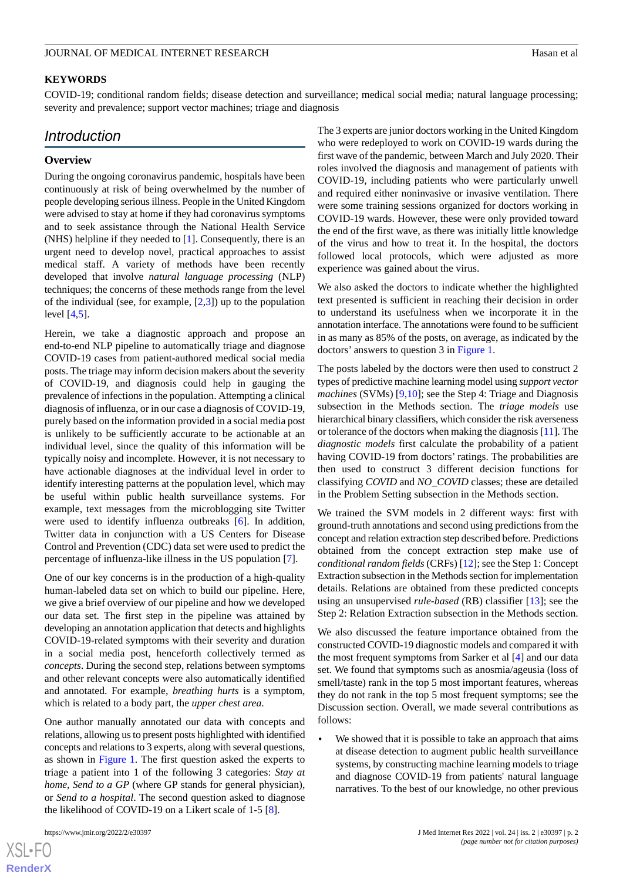### **KEYWORDS**

COVID-19; conditional random fields; disease detection and surveillance; medical social media; natural language processing; severity and prevalence; support vector machines; triage and diagnosis

# *Introduction*

### **Overview**

During the ongoing coronavirus pandemic, hospitals have been continuously at risk of being overwhelmed by the number of people developing serious illness. People in the United Kingdom were advised to stay at home if they had coronavirus symptoms and to seek assistance through the National Health Service (NHS) helpline if they needed to [\[1](#page-12-0)]. Consequently, there is an urgent need to develop novel, practical approaches to assist medical staff. A variety of methods have been recently developed that involve *natural language processing* (NLP) techniques; the concerns of these methods range from the level of the individual (see, for example,  $[2,3]$  $[2,3]$  $[2,3]$ ) up to the population level [\[4](#page-12-3),[5\]](#page-12-4).

Herein, we take a diagnostic approach and propose an end-to-end NLP pipeline to automatically triage and diagnose COVID-19 cases from patient-authored medical social media posts. The triage may inform decision makers about the severity of COVID-19, and diagnosis could help in gauging the prevalence of infections in the population. Attempting a clinical diagnosis of influenza, or in our case a diagnosis of COVID-19, purely based on the information provided in a social media post is unlikely to be sufficiently accurate to be actionable at an individual level, since the quality of this information will be typically noisy and incomplete. However, it is not necessary to have actionable diagnoses at the individual level in order to identify interesting patterns at the population level, which may be useful within public health surveillance systems. For example, text messages from the microblogging site Twitter were used to identify influenza outbreaks [[6](#page-12-5)]. In addition, Twitter data in conjunction with a US Centers for Disease Control and Prevention (CDC) data set were used to predict the percentage of influenza-like illness in the US population [\[7](#page-12-6)].

One of our key concerns is in the production of a high-quality human-labeled data set on which to build our pipeline. Here, we give a brief overview of our pipeline and how we developed our data set. The first step in the pipeline was attained by developing an annotation application that detects and highlights COVID-19-related symptoms with their severity and duration in a social media post, henceforth collectively termed as *concepts*. During the second step, relations between symptoms and other relevant concepts were also automatically identified and annotated. For example, *breathing hurts* is a symptom, which is related to a body part, the *upper chest area*.

One author manually annotated our data with concepts and relations, allowing us to present posts highlighted with identified concepts and relations to 3 experts, along with several questions, as shown in [Figure 1.](#page-2-0) The first question asked the experts to triage a patient into 1 of the following 3 categories: *Stay at home, Send to a GP* (where GP stands for general physician), or *Send to a hospital*. The second question asked to diagnose the likelihood of COVID-19 on a Likert scale of 1-5 [[8\]](#page-12-7).

 $XS$ -FO **[RenderX](http://www.renderx.com/)** The 3 experts are junior doctors working in the United Kingdom who were redeployed to work on COVID-19 wards during the first wave of the pandemic, between March and July 2020. Their roles involved the diagnosis and management of patients with COVID-19, including patients who were particularly unwell and required either noninvasive or invasive ventilation. There were some training sessions organized for doctors working in COVID-19 wards. However, these were only provided toward the end of the first wave, as there was initially little knowledge of the virus and how to treat it. In the hospital, the doctors followed local protocols, which were adjusted as more experience was gained about the virus.

We also asked the doctors to indicate whether the highlighted text presented is sufficient in reaching their decision in order to understand its usefulness when we incorporate it in the annotation interface. The annotations were found to be sufficient in as many as 85% of the posts, on average, as indicated by the doctors' answers to question 3 in [Figure 1.](#page-2-0)

The posts labeled by the doctors were then used to construct 2 types of predictive machine learning model using *support vector machines* (SVMs) [[9,](#page-12-8)[10](#page-12-9)]; see the Step 4: Triage and Diagnosis subsection in the Methods section. The *triage models* use hierarchical binary classifiers, which consider the risk averseness or tolerance of the doctors when making the diagnosis [[11\]](#page-12-10). The *diagnostic models* first calculate the probability of a patient having COVID-19 from doctors' ratings. The probabilities are then used to construct 3 different decision functions for classifying *COVID* and *NO\_COVID* classes; these are detailed in the Problem Setting subsection in the Methods section.

We trained the SVM models in 2 different ways: first with ground-truth annotations and second using predictions from the concept and relation extraction step described before. Predictions obtained from the concept extraction step make use of *conditional random fields* (CRFs) [[12\]](#page-12-11); see the Step 1: Concept Extraction subsection in the Methods section for implementation details. Relations are obtained from these predicted concepts using an unsupervised *rule-based* (RB) classifier [\[13](#page-12-12)]; see the Step 2: Relation Extraction subsection in the Methods section.

We also discussed the feature importance obtained from the constructed COVID-19 diagnostic models and compared it with the most frequent symptoms from Sarker et al [[4\]](#page-12-3) and our data set. We found that symptoms such as anosmia/ageusia (loss of smell/taste) rank in the top 5 most important features, whereas they do not rank in the top 5 most frequent symptoms; see the Discussion section. Overall, we made several contributions as follows:

We showed that it is possible to take an approach that aims at disease detection to augment public health surveillance systems, by constructing machine learning models to triage and diagnose COVID-19 from patients' natural language narratives. To the best of our knowledge, no other previous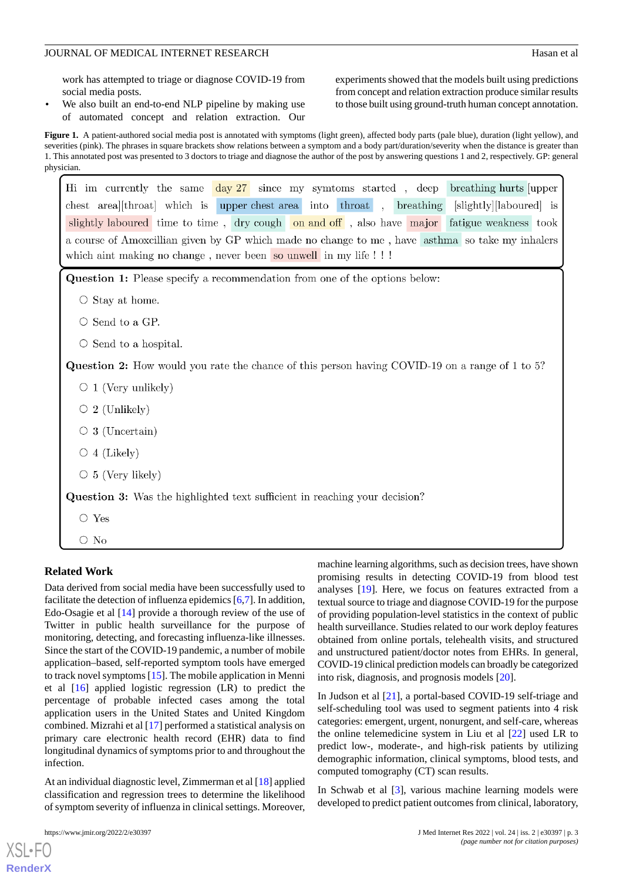work has attempted to triage or diagnose COVID-19 from social media posts.

We also built an end-to-end NLP pipeline by making use of automated concept and relation extraction. Our experiments showed that the models built using predictions from concept and relation extraction produce similar results to those built using ground-truth human concept annotation.

<span id="page-2-0"></span>Figure 1. A patient-authored social media post is annotated with symptoms (light green), affected body parts (pale blue), duration (light yellow), and severities (pink). The phrases in square brackets show relations between a symptom and a body part/duration/severity when the distance is greater than 1. This annotated post was presented to 3 doctors to triage and diagnose the author of the post by answering questions 1 and 2, respectively. GP: general physician.

| Hi im currently the same day 27 since my symtoms started, deep breathing hurts upper                                                                                |  |  |  |  |  |  |  |  |
|---------------------------------------------------------------------------------------------------------------------------------------------------------------------|--|--|--|--|--|--|--|--|
| chest area [throat] which is upper chest area into throat,<br>breathing<br>[slightly][laboured] is                                                                  |  |  |  |  |  |  |  |  |
| slightly laboured time to time, dry cough on and off, also have major fatigue weakness took                                                                         |  |  |  |  |  |  |  |  |
| a course of Amoxcillian given by GP which made no change to me, have asthma so take my inhalers<br>which aint making no change, never been so unwell in my life !!! |  |  |  |  |  |  |  |  |
| Question 1: Please specify a recommendation from one of the options below:                                                                                          |  |  |  |  |  |  |  |  |
| $\circ$ Stay at home.                                                                                                                                               |  |  |  |  |  |  |  |  |
| Send to a GP.                                                                                                                                                       |  |  |  |  |  |  |  |  |
| $\circ$ Send to a hospital.                                                                                                                                         |  |  |  |  |  |  |  |  |
| <b>Question 2:</b> How would you rate the chance of this person having COVID-19 on a range of 1 to 5?                                                               |  |  |  |  |  |  |  |  |
| $\circ$ 1 (Very unlikely)                                                                                                                                           |  |  |  |  |  |  |  |  |
| 2 (Unlikely)<br>$\circ$                                                                                                                                             |  |  |  |  |  |  |  |  |
| 3 (Uncertain)<br>$\circ$                                                                                                                                            |  |  |  |  |  |  |  |  |
| 4 (Likely)<br>$\circlearrowright$                                                                                                                                   |  |  |  |  |  |  |  |  |
| 5 (Very likely)<br>$\circ$                                                                                                                                          |  |  |  |  |  |  |  |  |
| Question 3: Was the highlighted text sufficient in reaching your decision?                                                                                          |  |  |  |  |  |  |  |  |
| $\circ$ Yes                                                                                                                                                         |  |  |  |  |  |  |  |  |
| $\circ$ No                                                                                                                                                          |  |  |  |  |  |  |  |  |

### **Related Work**

Data derived from social media have been successfully used to facilitate the detection of influenza epidemics [\[6](#page-12-5),[7\]](#page-12-6). In addition, Edo-Osagie et al [[14\]](#page-12-13) provide a thorough review of the use of Twitter in public health surveillance for the purpose of monitoring, detecting, and forecasting influenza-like illnesses. Since the start of the COVID-19 pandemic, a number of mobile application–based, self-reported symptom tools have emerged to track novel symptoms [\[15](#page-12-14)]. The mobile application in Menni et al [[16\]](#page-12-15) applied logistic regression (LR) to predict the percentage of probable infected cases among the total application users in the United States and United Kingdom combined. Mizrahi et al [\[17](#page-12-16)] performed a statistical analysis on primary care electronic health record (EHR) data to find longitudinal dynamics of symptoms prior to and throughout the infection.

At an individual diagnostic level, Zimmerman et al [\[18](#page-12-17)] applied classification and regression trees to determine the likelihood of symptom severity of influenza in clinical settings. Moreover,

 $X$ SL•FO **[RenderX](http://www.renderx.com/)**

machine learning algorithms, such as decision trees, have shown promising results in detecting COVID-19 from blood test analyses [\[19](#page-12-18)]. Here, we focus on features extracted from a textual source to triage and diagnose COVID-19 for the purpose of providing population-level statistics in the context of public health surveillance. Studies related to our work deploy features obtained from online portals, telehealth visits, and structured and unstructured patient/doctor notes from EHRs. In general, COVID-19 clinical prediction models can broadly be categorized into risk, diagnosis, and prognosis models [[20\]](#page-12-19).

In Judson et al [\[21](#page-13-0)], a portal-based COVID-19 self-triage and self-scheduling tool was used to segment patients into 4 risk categories: emergent, urgent, nonurgent, and self-care, whereas the online telemedicine system in Liu et al [\[22](#page-13-1)] used LR to predict low-, moderate-, and high-risk patients by utilizing demographic information, clinical symptoms, blood tests, and computed tomography (CT) scan results.

In Schwab et al [[3](#page-12-2)], various machine learning models were developed to predict patient outcomes from clinical, laboratory,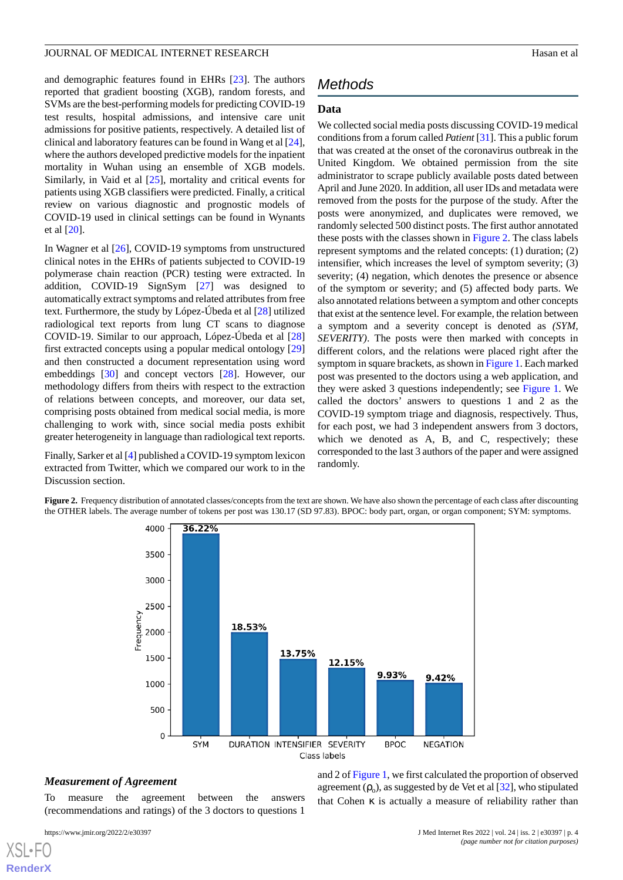and demographic features found in EHRs [[23\]](#page-13-2). The authors reported that gradient boosting (XGB), random forests, and SVMs are the best-performing models for predicting COVID-19 test results, hospital admissions, and intensive care unit admissions for positive patients, respectively. A detailed list of clinical and laboratory features can be found in Wang et al [[24\]](#page-13-3), where the authors developed predictive models for the inpatient mortality in Wuhan using an ensemble of XGB models. Similarly, in Vaid et al [[25\]](#page-13-4), mortality and critical events for patients using XGB classifiers were predicted. Finally, a critical review on various diagnostic and prognostic models of COVID-19 used in clinical settings can be found in Wynants et al [\[20](#page-12-19)].

In Wagner et al [\[26](#page-13-5)], COVID-19 symptoms from unstructured clinical notes in the EHRs of patients subjected to COVID-19 polymerase chain reaction (PCR) testing were extracted. In addition, COVID-19 SignSym [[27\]](#page-13-6) was designed to automatically extract symptoms and related attributes from free text. Furthermore, the study by López-Úbeda et al [\[28](#page-13-7)] utilized radiological text reports from lung CT scans to diagnose COVID-19. Similar to our approach, López-Úbeda et al [\[28](#page-13-7)] first extracted concepts using a popular medical ontology [\[29](#page-13-8)] and then constructed a document representation using word embeddings [[30\]](#page-13-9) and concept vectors [\[28](#page-13-7)]. However, our methodology differs from theirs with respect to the extraction of relations between concepts, and moreover, our data set, comprising posts obtained from medical social media, is more challenging to work with, since social media posts exhibit greater heterogeneity in language than radiological text reports.

<span id="page-3-0"></span>Finally, Sarker et al [\[4](#page-12-3)] published a COVID-19 symptom lexicon extracted from Twitter, which we compared our work to in the Discussion section.

# *Methods*

### **Data**

We collected social media posts discussing COVID-19 medical conditions from a forum called *Patient* [[31](#page-13-10)]. This a public forum that was created at the onset of the coronavirus outbreak in the United Kingdom. We obtained permission from the site administrator to scrape publicly available posts dated between April and June 2020. In addition, all user IDs and metadata were removed from the posts for the purpose of the study. After the posts were anonymized, and duplicates were removed, we randomly selected 500 distinct posts. The first author annotated these posts with the classes shown in [Figure 2](#page-3-0). The class labels represent symptoms and the related concepts: (1) duration; (2) intensifier, which increases the level of symptom severity; (3) severity; (4) negation, which denotes the presence or absence of the symptom or severity; and (5) affected body parts. We also annotated relations between a symptom and other concepts that exist at the sentence level. For example, the relation between a symptom and a severity concept is denoted as *(SYM, SEVERITY)*. The posts were then marked with concepts in different colors, and the relations were placed right after the symptom in square brackets, as shown in [Figure 1](#page-2-0). Each marked post was presented to the doctors using a web application, and they were asked 3 questions independently; see [Figure 1](#page-2-0). We called the doctors' answers to questions 1 and 2 as the COVID-19 symptom triage and diagnosis, respectively. Thus, for each post, we had 3 independent answers from 3 doctors, which we denoted as A, B, and C, respectively; these corresponded to the last 3 authors of the paper and were assigned randomly.

Figure 2. Frequency distribution of annotated classes/concepts from the text are shown. We have also shown the percentage of each class after discounting the OTHER labels. The average number of tokens per post was 130.17 (SD 97.83). BPOC: body part, organ, or organ component; SYM: symptoms.



### *Measurement of Agreement*

To measure the agreement between the answers (recommendations and ratings) of the 3 doctors to questions 1

[XSL](http://www.w3.org/Style/XSL)•FO **[RenderX](http://www.renderx.com/)**

and 2 of [Figure 1](#page-2-0), we first calculated the proportion of observed agreement  $(\rho_o)$ , as suggested by de Vet et al [[32\]](#page-13-11), who stipulated that Cohen  $\kappa$  is actually a measure of reliability rather than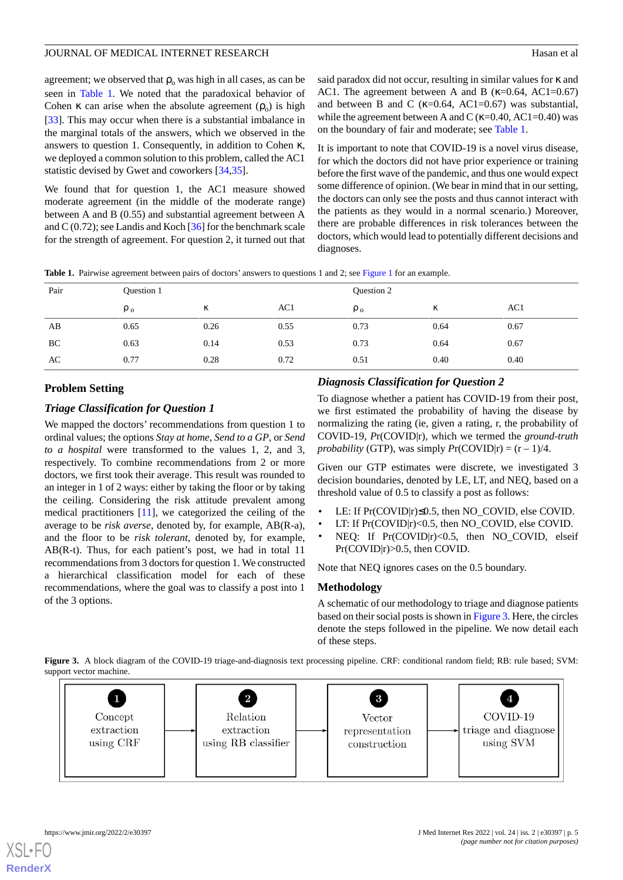agreement; we observed that  $\rho_0$  was high in all cases, as can be seen in [Table 1.](#page-4-0) We noted that the paradoxical behavior of Cohen  $\kappa$  can arise when the absolute agreement  $(\rho_o)$  is high [[33\]](#page-13-12). This may occur when there is a substantial imbalance in the marginal totals of the answers, which we observed in the answers to question 1. Consequently, in addition to Cohen κ, we deployed a common solution to this problem, called the AC1 statistic devised by Gwet and coworkers [\[34](#page-13-13),[35\]](#page-13-14).

We found that for question 1, the AC1 measure showed moderate agreement (in the middle of the moderate range) between A and B (0.55) and substantial agreement between A and C (0.72); see Landis and Koch  $[36]$  $[36]$  for the benchmark scale for the strength of agreement. For question 2, it turned out that said paradox did not occur, resulting in similar values for κ and AC1. The agreement between A and B ( $\kappa$ =0.64, AC1=0.67) and between B and C ( $\kappa$ =0.64, AC1=0.67) was substantial, while the agreement between A and C ( $\kappa$ =0.40, AC1=0.40) was on the boundary of fair and moderate; see [Table 1](#page-4-0).

It is important to note that COVID-19 is a novel virus disease, for which the doctors did not have prior experience or training before the first wave of the pandemic, and thus one would expect some difference of opinion. (We bear in mind that in our setting, the doctors can only see the posts and thus cannot interact with the patients as they would in a normal scenario.) Moreover, there are probable differences in risk tolerances between the doctors, which would lead to potentially different decisions and diagnoses.

<span id="page-4-0"></span>**Table 1.** Pairwise agreement between pairs of doctors' answers to questions 1 and 2; see [Figure 1](#page-2-0) for an example.

| Pair | Question 1 |      |      | Question 2 |      |      |
|------|------------|------|------|------------|------|------|
|      | $\rho_o$   | κ    | AC1  | $\rho_0$   | κ    | AC1  |
| AB   | 0.65       | 0.26 | 0.55 | 0.73       | 0.64 | 0.67 |
| BC   | 0.63       | 0.14 | 0.53 | 0.73       | 0.64 | 0.67 |
| AC   | 0.77       | 0.28 | 0.72 | 0.51       | 0.40 | 0.40 |

## **Problem Setting**

### *Triage Classification for Question 1*

We mapped the doctors' recommendations from question 1 to ordinal values; the options *Stay at home*, *Send to a GP*, or *Send to a hospital* were transformed to the values 1, 2, and 3, respectively. To combine recommendations from 2 or more doctors, we first took their average. This result was rounded to an integer in 1 of 2 ways: either by taking the floor or by taking the ceiling. Considering the risk attitude prevalent among medical practitioners [\[11](#page-12-10)], we categorized the ceiling of the average to be *risk averse*, denoted by, for example, AB(R-a), and the floor to be *risk tolerant*, denoted by, for example, AB(R-t). Thus, for each patient's post, we had in total 11 recommendations from 3 doctors for question 1. We constructed a hierarchical classification model for each of these recommendations, where the goal was to classify a post into 1 of the 3 options.

# *Diagnosis Classification for Question 2*

To diagnose whether a patient has COVID-19 from their post, we first estimated the probability of having the disease by normalizing the rating (ie, given a rating, r, the probability of COVID-19, *P*r(COVID|r), which we termed the *ground-truth probability* (GTP), was simply  $Pr(COVID|r) = (r - 1)/4$ .

Given our GTP estimates were discrete, we investigated 3 decision boundaries, denoted by LE, LT, and NEQ, based on a threshold value of 0.5 to classify a post as follows:

- LE: If Pr(COVID|r)≤0.5, then NO\_COVID, else COVID.
- LT: If Pr(COVID|r)<0.5, then NO\_COVID, else COVID.
- NEQ: If Pr(COVID|r)<0.5, then NO\_COVID, elseif Pr(COVID|r)>0.5, then COVID.

Note that NEQ ignores cases on the 0.5 boundary.

### **Methodology**

A schematic of our methodology to triage and diagnose patients based on their social posts is shown in [Figure 3](#page-4-1). Here, the circles denote the steps followed in the pipeline. We now detail each of these steps.

<span id="page-4-1"></span>**Figure 3.** A block diagram of the COVID-19 triage-and-diagnosis text processing pipeline. CRF: conditional random field; RB: rule based; SVM: support vector machine.

| $\mathbf{1}$<br>Concept<br>extraction<br>using CRF | $\overline{\mathbf{2}}$<br>Relation<br>extraction<br>using RB classifier | $\boldsymbol{3}$<br>Vector<br>representation<br>construction | COVID-19<br>$\rightarrow$ triage and diagnose<br>using SVM |
|----------------------------------------------------|--------------------------------------------------------------------------|--------------------------------------------------------------|------------------------------------------------------------|
|                                                    |                                                                          |                                                              |                                                            |

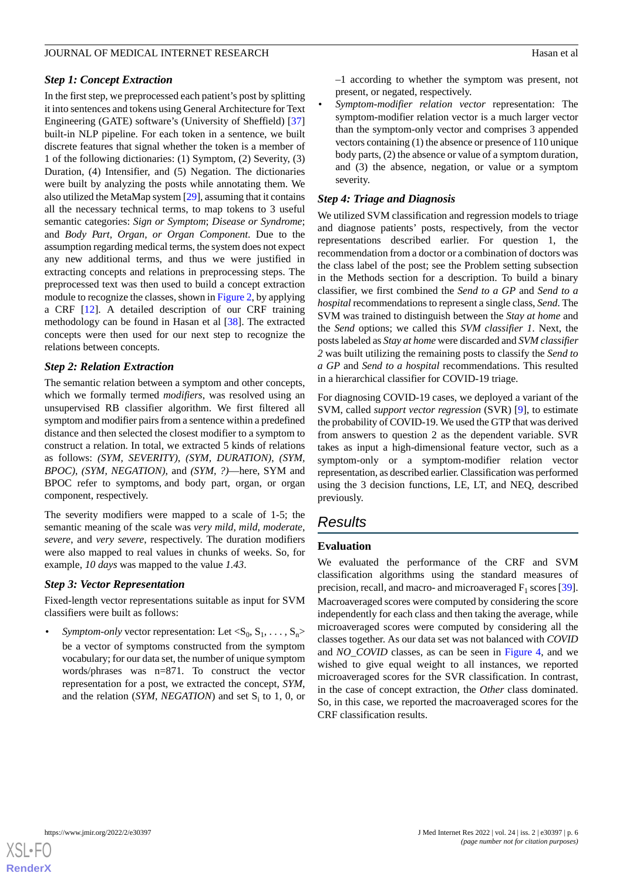### *Step 1: Concept Extraction*

In the first step, we preprocessed each patient's post by splitting it into sentences and tokens using General Architecture for Text Engineering (GATE) software's (University of Sheffield) [\[37](#page-13-16)] built-in NLP pipeline. For each token in a sentence, we built discrete features that signal whether the token is a member of 1 of the following dictionaries: (1) Symptom, (2) Severity, (3) Duration, (4) Intensifier, and (5) Negation. The dictionaries were built by analyzing the posts while annotating them. We also utilized the MetaMap system [\[29](#page-13-8)], assuming that it contains all the necessary technical terms, to map tokens to 3 useful semantic categories: *Sign or Symptom*; *Disease or Syndrome*; and *Body Part, Organ, or Organ Component*. Due to the assumption regarding medical terms, the system does not expect any new additional terms, and thus we were justified in extracting concepts and relations in preprocessing steps. The preprocessed text was then used to build a concept extraction module to recognize the classes, shown in [Figure 2,](#page-3-0) by applying a CRF [[12\]](#page-12-11). A detailed description of our CRF training methodology can be found in Hasan et al [[38\]](#page-13-17). The extracted concepts were then used for our next step to recognize the relations between concepts.

### *Step 2: Relation Extraction*

The semantic relation between a symptom and other concepts, which we formally termed *modifiers*, was resolved using an unsupervised RB classifier algorithm. We first filtered all symptom and modifier pairs from a sentence within a predefined distance and then selected the closest modifier to a symptom to construct a relation. In total, we extracted 5 kinds of relations as follows: *(SYM, SEVERITY)*, *(SYM, DURATION)*, *(SYM, BPOC)*, *(SYM, NEGATION)*, and *(SYM, ?)*—here, SYM and BPOC refer to symptoms, and body part, organ, or organ component, respectively.

The severity modifiers were mapped to a scale of 1-5; the semantic meaning of the scale was *very mild*, *mild*, *moderate*, *severe*, and *very severe*, respectively. The duration modifiers were also mapped to real values in chunks of weeks. So, for example, *10 days* was mapped to the value *1.43*.

### *Step 3: Vector Representation*

Fixed-length vector representations suitable as input for SVM classifiers were built as follows:

• *Symptom-only* vector representation: Let  $\langle S_0, S_1, \ldots, S_n \rangle$ be a vector of symptoms constructed from the symptom vocabulary; for our data set, the number of unique symptom words/phrases was n=871. To construct the vector representation for a post, we extracted the concept, *SYM*, and the relation (*SYM*, *NEGATION*) and set S<sub>i</sub> to 1, 0, or

–1 according to whether the symptom was present, not present, or negated, respectively.

• *Symptom-modifier relation vector* representation: The symptom-modifier relation vector is a much larger vector than the symptom-only vector and comprises 3 appended vectors containing (1) the absence or presence of 110 unique body parts, (2) the absence or value of a symptom duration, and (3) the absence, negation, or value or a symptom severity.

### *Step 4: Triage and Diagnosis*

We utilized SVM classification and regression models to triage and diagnose patients' posts, respectively, from the vector representations described earlier. For question 1, the recommendation from a doctor or a combination of doctors was the class label of the post; see the Problem setting subsection in the Methods section for a description. To build a binary classifier, we first combined the *Send to a GP* and *Send to a hospital* recommendations to represent a single class, *Send*. The SVM was trained to distinguish between the *Stay at home* and the *Send* options; we called this *SVM classifier 1*. Next, the posts labeled as *Stay at home* were discarded and *SVM classifier 2* was built utilizing the remaining posts to classify the *Send to a GP* and *Send to a hospital* recommendations. This resulted in a hierarchical classifier for COVID-19 triage.

For diagnosing COVID-19 cases, we deployed a variant of the SVM, called *support vector regression* (SVR) [\[9](#page-12-8)], to estimate the probability of COVID-19. We used the GTP that was derived from answers to question 2 as the dependent variable. SVR takes as input a high-dimensional feature vector, such as a symptom-only or a symptom-modifier relation vector representation, as described earlier. Classification was performed using the 3 decision functions, LE, LT, and NEQ, described previously.

# *Results*

### **Evaluation**

We evaluated the performance of the CRF and SVM classification algorithms using the standard measures of precision, recall, and macro- and microaveraged  $F_1$  scores [[39\]](#page-13-18). Macroaveraged scores were computed by considering the score independently for each class and then taking the average, while microaveraged scores were computed by considering all the classes together. As our data set was not balanced with *COVID* and *NO\_COVID* classes, as can be seen in [Figure 4](#page-6-0), and we wished to give equal weight to all instances, we reported microaveraged scores for the SVR classification. In contrast, in the case of concept extraction, the *Other* class dominated. So, in this case, we reported the macroaveraged scores for the CRF classification results.

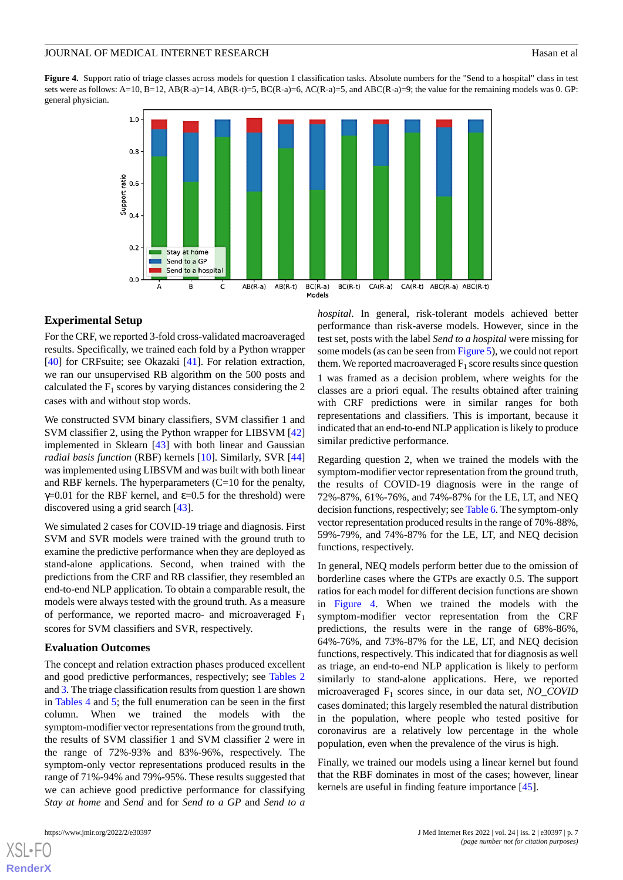<span id="page-6-0"></span>Figure 4. Support ratio of triage classes across models for question 1 classification tasks. Absolute numbers for the "Send to a hospital" class in test sets were as follows: A=10, B=12, AB(R-a)=14, AB(R-t)=5, BC(R-a)=6, AC(R-a)=5, and ABC(R-a)=9; the value for the remaining models was 0. GP: general physician.



### **Experimental Setup**

For the CRF, we reported 3-fold cross-validated macroaveraged results. Specifically, we trained each fold by a Python wrapper [[40\]](#page-13-19) for CRFsuite; see Okazaki [\[41](#page-13-20)]. For relation extraction, we ran our unsupervised RB algorithm on the 500 posts and calculated the  $F_1$  scores by varying distances considering the 2 cases with and without stop words.

We constructed SVM binary classifiers, SVM classifier 1 and SVM classifier 2, using the Python wrapper for LIBSVM [\[42](#page-13-21)] implemented in Sklearn [[43\]](#page-13-22) with both linear and Gaussian *radial basis function* (RBF) kernels [\[10](#page-12-9)]. Similarly, SVR [\[44](#page-13-23)] was implemented using LIBSVM and was built with both linear and RBF kernels. The hyperparameters (C=10 for the penalty,  $γ=0.01$  for the RBF kernel, and  $ε=0.5$  for the threshold) were discovered using a grid search [\[43](#page-13-22)].

We simulated 2 cases for COVID-19 triage and diagnosis. First SVM and SVR models were trained with the ground truth to examine the predictive performance when they are deployed as stand-alone applications. Second, when trained with the predictions from the CRF and RB classifier, they resembled an end-to-end NLP application. To obtain a comparable result, the models were always tested with the ground truth. As a measure of performance, we reported macro- and microaveraged  $F_1$ scores for SVM classifiers and SVR, respectively.

### **Evaluation Outcomes**

The concept and relation extraction phases produced excellent and good predictive performances, respectively; see [Tables 2](#page-7-0) and [3.](#page-7-1) The triage classification results from question 1 are shown in [Tables 4](#page-8-0) and [5](#page-9-0); the full enumeration can be seen in the first column. When we trained the models with the symptom-modifier vector representations from the ground truth, the results of SVM classifier 1 and SVM classifier 2 were in the range of 72%-93% and 83%-96%, respectively. The symptom-only vector representations produced results in the range of 71%-94% and 79%-95%. These results suggested that we can achieve good predictive performance for classifying *Stay at home* and *Send* and for *Send to a GP* and *Send to a*

[XSL](http://www.w3.org/Style/XSL)•FO **[RenderX](http://www.renderx.com/)**

*hospital*. In general, risk-tolerant models achieved better performance than risk-averse models. However, since in the test set, posts with the label *Send to a hospital* were missing for some models (as can be seen from [Figure 5\)](#page-9-1), we could not report them. We reported macroaveraged  $F_1$  score results since question 1 was framed as a decision problem, where weights for the classes are a priori equal. The results obtained after training with CRF predictions were in similar ranges for both representations and classifiers. This is important, because it indicated that an end-to-end NLP application is likely to produce similar predictive performance.

Regarding question 2, when we trained the models with the symptom-modifier vector representation from the ground truth, the results of COVID-19 diagnosis were in the range of 72%-87%, 61%-76%, and 74%-87% for the LE, LT, and NEQ decision functions, respectively; see [Table 6.](#page-10-0) The symptom-only vector representation produced results in the range of 70%-88%, 59%-79%, and 74%-87% for the LE, LT, and NEQ decision functions, respectively.

In general, NEQ models perform better due to the omission of borderline cases where the GTPs are exactly 0.5. The support ratios for each model for different decision functions are shown in [Figure 4.](#page-6-0) When we trained the models with the symptom-modifier vector representation from the CRF predictions, the results were in the range of 68%-86%, 64%-76%, and 73%-87% for the LE, LT, and NEQ decision functions, respectively. This indicated that for diagnosis as well as triage, an end-to-end NLP application is likely to perform similarly to stand-alone applications. Here, we reported microaveraged F<sup>1</sup> scores since, in our data set, *NO\_COVID* cases dominated; this largely resembled the natural distribution in the population, where people who tested positive for coronavirus are a relatively low percentage in the whole population, even when the prevalence of the virus is high.

Finally, we trained our models using a linear kernel but found that the RBF dominates in most of the cases; however, linear kernels are useful in finding feature importance [\[45](#page-13-24)].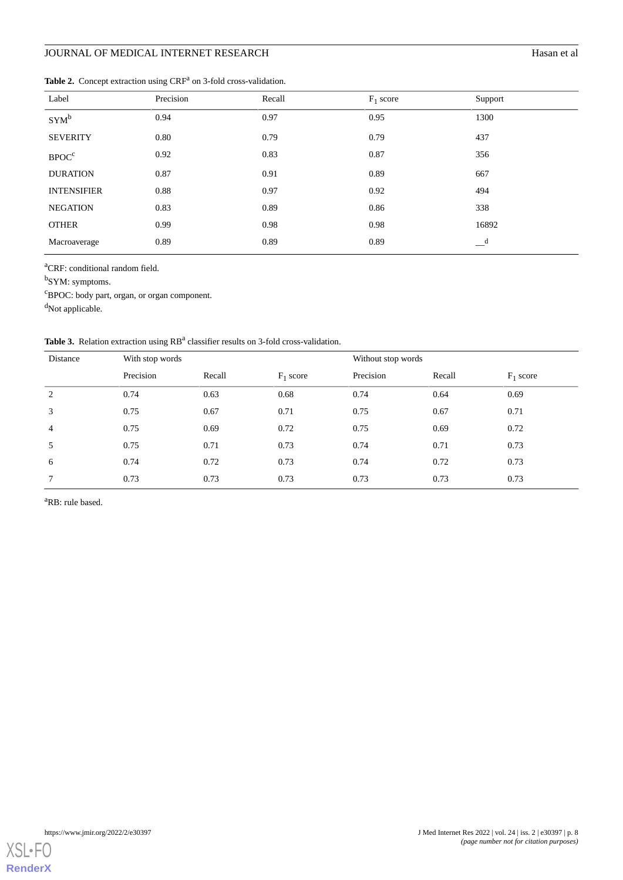# **JOURNAL OF MEDICAL INTERNET RESEARCH** Hasan et al

<span id="page-7-0"></span>Table 2. Concept extraction using CRF<sup>a</sup> on 3-fold cross-validation.

| Label              | Precision | Recall | $F_1$ score | Support                    |
|--------------------|-----------|--------|-------------|----------------------------|
| $SYM^b$            | 0.94      | 0.97   | 0.95        | 1300                       |
| <b>SEVERITY</b>    | 0.80      | 0.79   | 0.79        | 437                        |
| BPOC <sup>c</sup>  | 0.92      | 0.83   | 0.87        | 356                        |
| <b>DURATION</b>    | 0.87      | 0.91   | 0.89        | 667                        |
| <b>INTENSIFIER</b> | 0.88      | 0.97   | 0.92        | 494                        |
| <b>NEGATION</b>    | 0.83      | 0.89   | 0.86        | 338                        |
| <b>OTHER</b>       | 0.99      | 0.98   | 0.98        | 16892                      |
| Macroaverage       | 0.89      | 0.89   | 0.89        | $\overline{\phantom{a}}^d$ |

<sup>a</sup>CRF: conditional random field.

<sup>b</sup>SYM: symptoms.

<sup>c</sup>BPOC: body part, organ, or organ component.

<span id="page-7-1"></span><sup>d</sup>Not applicable.

Table 3. Relation extraction using RB<sup>a</sup> classifier results on 3-fold cross-validation.

| Distance       | With stop words |        |             | Without stop words |        |             |
|----------------|-----------------|--------|-------------|--------------------|--------|-------------|
|                | Precision       | Recall | $F_1$ score | Precision          | Recall | $F_1$ score |
| 2              | 0.74            | 0.63   | 0.68        | 0.74               | 0.64   | 0.69        |
| 3              | 0.75            | 0.67   | 0.71        | 0.75               | 0.67   | 0.71        |
| $\overline{4}$ | 0.75            | 0.69   | 0.72        | 0.75               | 0.69   | 0.72        |
| 5              | 0.75            | 0.71   | 0.73        | 0.74               | 0.71   | 0.73        |
| 6              | 0.74            | 0.72   | 0.73        | 0.74               | 0.72   | 0.73        |
| 7              | 0.73            | 0.73   | 0.73        | 0.73               | 0.73   | 0.73        |

<sup>a</sup>RB: rule based.

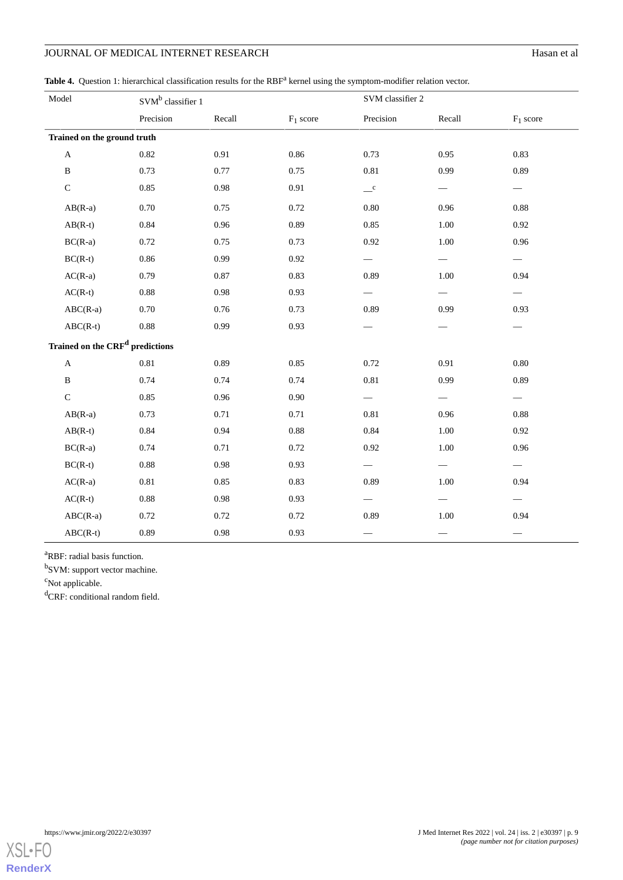# **JOURNAL OF MEDICAL INTERNET RESEARCH** Hasan et al

<span id="page-8-0"></span>Table 4. Question 1: hierarchical classification results for the RBF<sup>a</sup> kernel using the symptom-modifier relation vector.

| Model                                       |           | SVM <sup>b</sup> classifier 1 |             | SVM classifier 2 |                          |             |
|---------------------------------------------|-----------|-------------------------------|-------------|------------------|--------------------------|-------------|
|                                             | Precision | Recall                        | $F_1$ score | Precision        | Recall                   | $F_1$ score |
| Trained on the ground truth                 |           |                               |             |                  |                          |             |
| $\mathbf A$                                 | 0.82      | 0.91                          | 0.86        | 0.73             | 0.95                     | 0.83        |
| $\, {\bf B}$                                | 0.73      | 0.77                          | 0.75        | 0.81             | 0.99                     | 0.89        |
| $\mathsf C$                                 | 0.85      | 0.98                          | 0.91        | $\mathbf{C}$     |                          |             |
| $AB(R-a)$                                   | $0.70\,$  | 0.75                          | 0.72        | $0.80\,$         | 0.96                     | 0.88        |
| $AB(R-t)$                                   | 0.84      | 0.96                          | 0.89        | 0.85             | 1.00                     | 0.92        |
| $BC(R-a)$                                   | 0.72      | 0.75                          | 0.73        | 0.92             | 1.00                     | 0.96        |
| $BC(R-t)$                                   | 0.86      | 0.99                          | 0.92        |                  |                          |             |
| $AC(R-a)$                                   | 0.79      | 0.87                          | 0.83        | 0.89             | 1.00                     | 0.94        |
| $AC(R-t)$                                   | 0.88      | 0.98                          | 0.93        |                  |                          |             |
| $ABC(R-a)$                                  | 0.70      | 0.76                          | 0.73        | 0.89             | 0.99                     | 0.93        |
| $ABC(R-t)$                                  | 0.88      | 0.99                          | 0.93        |                  |                          |             |
| Trained on the CRF <sup>d</sup> predictions |           |                               |             |                  |                          |             |
| $\mathbf{A}$                                | 0.81      | 0.89                          | 0.85        | 0.72             | 0.91                     | 0.80        |
| B                                           | 0.74      | 0.74                          | 0.74        | 0.81             | 0.99                     | 0.89        |
| $\mathbf C$                                 | 0.85      | 0.96                          | 0.90        |                  | $\overline{\phantom{0}}$ |             |
| $AB(R-a)$                                   | 0.73      | 0.71                          | 0.71        | 0.81             | 0.96                     | 0.88        |
| $AB(R-t)$                                   | 0.84      | 0.94                          | 0.88        | 0.84             | 1.00                     | 0.92        |
| $BC(R-a)$                                   | 0.74      | 0.71                          | 0.72        | 0.92             | 1.00                     | 0.96        |
| $BC(R-t)$                                   | 0.88      | 0.98                          | 0.93        |                  |                          |             |
| $AC(R-a)$                                   | 0.81      | 0.85                          | 0.83        | 0.89             | 1.00                     | 0.94        |
| $AC(R-t)$                                   | $0.88\,$  | $0.98\,$                      | 0.93        |                  |                          |             |
| $ABC(R-a)$                                  | 0.72      | 0.72                          | 0.72        | 0.89             | 1.00                     | 0.94        |
| $ABC(R-t)$                                  | 0.89      | 0.98                          | 0.93        |                  |                          |             |

<sup>a</sup>RBF: radial basis function.

<sup>b</sup>SVM: support vector machine.

<sup>c</sup>Not applicable.

<sup>d</sup>CRF: conditional random field.

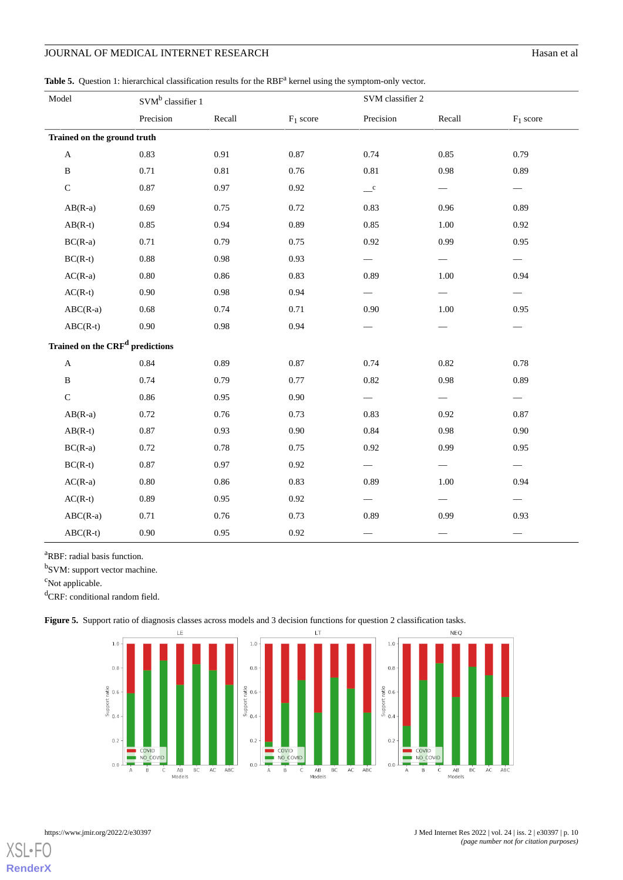## JOURNAL OF MEDICAL INTERNET RESEARCH Hasan et al.

<span id="page-9-0"></span>Table 5. Question 1: hierarchical classification results for the RBF<sup>a</sup> kernel using the symptom-only vector.

| Model                                       | SVM <sup>b</sup> classifier 1 |          |             | SVM classifier 2 |                          |             |
|---------------------------------------------|-------------------------------|----------|-------------|------------------|--------------------------|-------------|
|                                             | Precision                     | Recall   | $F_1$ score | Precision        | Recall                   | $F_1$ score |
| Trained on the ground truth                 |                               |          |             |                  |                          |             |
| $\mathbf A$                                 | 0.83                          | 0.91     | 0.87        | 0.74             | 0.85                     | 0.79        |
| $\, {\bf B}$                                | 0.71                          | 0.81     | 0.76        | 0.81             | 0.98                     | 0.89        |
| $\mathsf C$                                 | 0.87                          | 0.97     | $0.92\,$    | $\mathbf{C}$     | $\overline{\phantom{0}}$ |             |
| $AB(R-a)$                                   | 0.69                          | 0.75     | 0.72        | 0.83             | 0.96                     | 0.89        |
| $AB(R-t)$                                   | 0.85                          | 0.94     | 0.89        | 0.85             | 1.00                     | 0.92        |
| $BC(R-a)$                                   | 0.71                          | 0.79     | 0.75        | 0.92             | 0.99                     | 0.95        |
| $BC(R-t)$                                   | $0.88\,$                      | 0.98     | 0.93        |                  |                          |             |
| $AC(R-a)$                                   | $0.80\,$                      | 0.86     | 0.83        | 0.89             | $1.00\,$                 | 0.94        |
| $AC(R-t)$                                   | 0.90                          | 0.98     | 0.94        |                  |                          |             |
| $ABC(R-a)$                                  | $0.68\,$                      | 0.74     | 0.71        | 0.90             | $1.00\,$                 | 0.95        |
| $ABC(R-t)$                                  | 0.90                          | 0.98     | 0.94        |                  |                          |             |
| Trained on the CRF <sup>d</sup> predictions |                               |          |             |                  |                          |             |
| $\mathbf A$                                 | 0.84                          | 0.89     | 0.87        | 0.74             | 0.82                     | 0.78        |
| $\, {\bf B}$                                | 0.74                          | 0.79     | 0.77        | 0.82             | 0.98                     | 0.89        |
| $\mathsf{C}$                                | 0.86                          | 0.95     | 0.90        |                  |                          |             |
| $AB(R-a)$                                   | 0.72                          | 0.76     | 0.73        | 0.83             | 0.92                     | 0.87        |
| $AB(R-t)$                                   | 0.87                          | 0.93     | 0.90        | 0.84             | 0.98                     | 0.90        |
| $BC(R-a)$                                   | 0.72                          | 0.78     | 0.75        | 0.92             | 0.99                     | 0.95        |
| $BC(R-t)$                                   | 0.87                          | 0.97     | 0.92        |                  |                          |             |
| $AC(R-a)$                                   | $0.80\,$                      | $0.86\,$ | 0.83        | 0.89             | $1.00\,$                 | 0.94        |
| $AC(R-t)$                                   | 0.89                          | 0.95     | 0.92        |                  |                          |             |
| $ABC(R-a)$                                  | 0.71                          | 0.76     | 0.73        | 0.89             | 0.99                     | 0.93        |
| $ABC(R-t)$                                  | $0.90\,$                      | 0.95     | 0.92        |                  |                          |             |

<span id="page-9-1"></span><sup>a</sup>RBF: radial basis function.

<sup>b</sup>SVM: support vector machine.

<sup>c</sup>Not applicable.

<sup>d</sup>CRF: conditional random field.

**Figure 5.** Support ratio of diagnosis classes across models and 3 decision functions for question 2 classification tasks.





**[RenderX](http://www.renderx.com/)**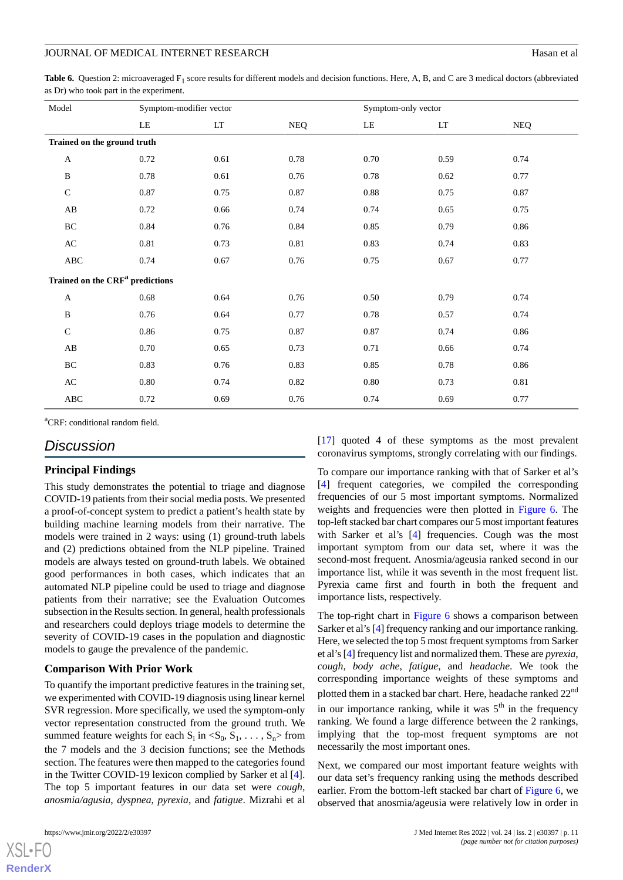<span id="page-10-0"></span>**Table 6.** Question 2: microaveraged F<sub>1</sub> score results for different models and decision functions. Here, A, B, and C are 3 medical doctors (abbreviated as Dr) who took part in the experiment.

| Model                       |                                             | Symptom-modifier vector |            | Symptom-only vector |                            |            |
|-----------------------------|---------------------------------------------|-------------------------|------------|---------------------|----------------------------|------------|
|                             | LE                                          | LT                      | <b>NEQ</b> | LE                  | $\mathop{\rm LT}\nolimits$ | <b>NEQ</b> |
| Trained on the ground truth |                                             |                         |            |                     |                            |            |
| $\boldsymbol{\mathsf{A}}$   | 0.72                                        | 0.61                    | 0.78       | 0.70                | 0.59                       | 0.74       |
| B                           | 0.78                                        | 0.61                    | 0.76       | 0.78                | 0.62                       | 0.77       |
| $\mathbf C$                 | 0.87                                        | 0.75                    | 0.87       | 0.88                | 0.75                       | 0.87       |
| $\mathbf{A}\mathbf{B}$      | 0.72                                        | 0.66                    | 0.74       | 0.74                | 0.65                       | 0.75       |
| BC                          | 0.84                                        | 0.76                    | 0.84       | 0.85                | 0.79                       | 0.86       |
| $\mathbf{A}\mathbf{C}$      | 0.81                                        | 0.73                    | $0.81\,$   | 0.83                | 0.74                       | 0.83       |
| $\rm ABC$                   | 0.74                                        | 0.67                    | 0.76       | 0.75                | 0.67                       | 0.77       |
|                             | Trained on the CRF <sup>a</sup> predictions |                         |            |                     |                            |            |
| $\mathbf{A}$                | $0.68\,$                                    | 0.64                    | 0.76       | 0.50                | 0.79                       | 0.74       |
| B                           | 0.76                                        | 0.64                    | 0.77       | 0.78                | 0.57                       | 0.74       |
| $\mathsf{C}$                | 0.86                                        | 0.75                    | 0.87       | 0.87                | 0.74                       | 0.86       |
| $\mathbf{A}\mathbf{B}$      | 0.70                                        | 0.65                    | 0.73       | 0.71                | 0.66                       | 0.74       |
| BC                          | 0.83                                        | 0.76                    | 0.83       | 0.85                | 0.78                       | 0.86       |
| $\mathbf{A}\mathbf{C}$      | 0.80                                        | 0.74                    | 0.82       | 0.80                | 0.73                       | 0.81       |
| ABC                         | 0.72                                        | 0.69                    | 0.76       | 0.74                | 0.69                       | 0.77       |

<sup>a</sup>CRF: conditional random field.

### *Discussion*

### **Principal Findings**

This study demonstrates the potential to triage and diagnose COVID-19 patients from their social media posts. We presented a proof-of-concept system to predict a patient's health state by building machine learning models from their narrative. The models were trained in 2 ways: using (1) ground-truth labels and (2) predictions obtained from the NLP pipeline. Trained models are always tested on ground-truth labels. We obtained good performances in both cases, which indicates that an automated NLP pipeline could be used to triage and diagnose patients from their narrative; see the Evaluation Outcomes subsection in the Results section. In general, health professionals and researchers could deploys triage models to determine the severity of COVID-19 cases in the population and diagnostic models to gauge the prevalence of the pandemic.

### **Comparison With Prior Work**

To quantify the important predictive features in the training set, we experimented with COVID-19 diagnosis using linear kernel SVR regression. More specifically, we used the symptom-only vector representation constructed from the ground truth. We summed feature weights for each  $S_i$  in  $\langle S_0, S_1, \ldots, S_n \rangle$  from the 7 models and the 3 decision functions; see the Methods section. The features were then mapped to the categories found in the Twitter COVID-19 lexicon complied by Sarker et al [[4\]](#page-12-3). The top 5 important features in our data set were *cough*, *anosmia/agusia*, *dyspnea*, *pyrexia*, and *fatigue*. Mizrahi et al

[[17\]](#page-12-16) quoted 4 of these symptoms as the most prevalent coronavirus symptoms, strongly correlating with our findings.

To compare our importance ranking with that of Sarker et al's [[4\]](#page-12-3) frequent categories, we compiled the corresponding frequencies of our 5 most important symptoms. Normalized weights and frequencies were then plotted in [Figure 6.](#page-11-0) The top-left stacked bar chart compares our 5 most important features with Sarker et al's [\[4](#page-12-3)] frequencies. Cough was the most important symptom from our data set, where it was the second-most frequent. Anosmia/ageusia ranked second in our importance list, while it was seventh in the most frequent list. Pyrexia came first and fourth in both the frequent and importance lists, respectively.

The top-right chart in [Figure 6](#page-11-0) shows a comparison between Sarker et al's [\[4](#page-12-3)] frequency ranking and our importance ranking. Here, we selected the top 5 most frequent symptoms from Sarker et al's [\[4](#page-12-3)] frequency list and normalized them. These are *pyrexia*, *cough*, *body ache*, *fatigue*, and *headache*. We took the corresponding importance weights of these symptoms and plotted them in a stacked bar chart. Here, headache ranked 22<sup>nd</sup> in our importance ranking, while it was  $5<sup>th</sup>$  in the frequency ranking. We found a large difference between the 2 rankings, implying that the top-most frequent symptoms are not necessarily the most important ones.

Next, we compared our most important feature weights with our data set's frequency ranking using the methods described earlier. From the bottom-left stacked bar chart of [Figure 6,](#page-11-0) we observed that anosmia/ageusia were relatively low in order in

```
XSL•FO
RenderX
```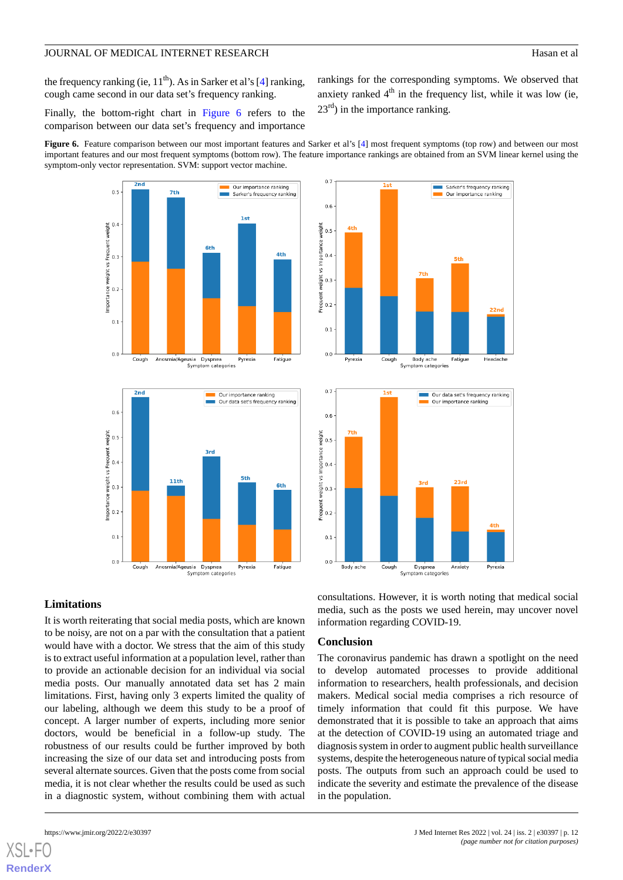the frequency ranking (ie,  $11<sup>th</sup>$ ). As in Sarker et al's [\[4](#page-12-3)] ranking, cough came second in our data set's frequency ranking.

rankings for the corresponding symptoms. We observed that anxiety ranked  $4<sup>th</sup>$  in the frequency list, while it was low (ie,  $23<sup>rd</sup>$ ) in the importance ranking.

Finally, the bottom-right chart in [Figure 6](#page-11-0) refers to the comparison between our data set's frequency and importance

<span id="page-11-0"></span>**Figure 6.** Feature comparison between our most important features and Sarker et al's [[4](#page-12-3)] most frequent symptoms (top row) and between our most important features and our most frequent symptoms (bottom row). The feature importance rankings are obtained from an SVM linear kernel using the symptom-only vector representation. SVM: support vector machine.









### **Limitations**

It is worth reiterating that social media posts, which are known to be noisy, are not on a par with the consultation that a patient would have with a doctor. We stress that the aim of this study is to extract useful information at a population level, rather than to provide an actionable decision for an individual via social media posts. Our manually annotated data set has 2 main limitations. First, having only 3 experts limited the quality of our labeling, although we deem this study to be a proof of concept. A larger number of experts, including more senior doctors, would be beneficial in a follow-up study. The robustness of our results could be further improved by both increasing the size of our data set and introducing posts from several alternate sources. Given that the posts come from social media, it is not clear whether the results could be used as such in a diagnostic system, without combining them with actual

[XSL](http://www.w3.org/Style/XSL)•FO **[RenderX](http://www.renderx.com/)**

consultations. However, it is worth noting that medical social media, such as the posts we used herein, may uncover novel information regarding COVID-19.

### **Conclusion**

The coronavirus pandemic has drawn a spotlight on the need to develop automated processes to provide additional information to researchers, health professionals, and decision makers. Medical social media comprises a rich resource of timely information that could fit this purpose. We have demonstrated that it is possible to take an approach that aims at the detection of COVID-19 using an automated triage and diagnosis system in order to augment public health surveillance systems, despite the heterogeneous nature of typical social media posts. The outputs from such an approach could be used to indicate the severity and estimate the prevalence of the disease in the population.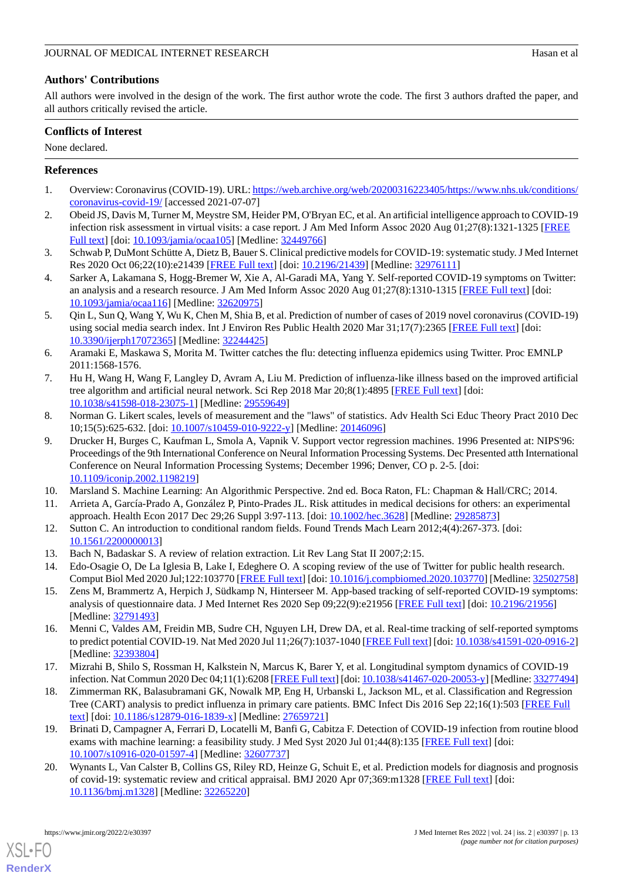# **Authors' Contributions**

All authors were involved in the design of the work. The first author wrote the code. The first 3 authors drafted the paper, and all authors critically revised the article.

### **Conflicts of Interest**

None declared.

# <span id="page-12-0"></span>**References**

- <span id="page-12-1"></span>1. Overview: Coronavirus (COVID-19). URL: [https://web.archive.org/web/20200316223405/https://www.nhs.uk/conditions/](https://web.archive.org/web/20200316223405/https://www.nhs.uk/conditions/coronavirus-covid-19/) [coronavirus-covid-19/](https://web.archive.org/web/20200316223405/https://www.nhs.uk/conditions/coronavirus-covid-19/) [accessed 2021-07-07]
- <span id="page-12-2"></span>2. Obeid JS, Davis M, Turner M, Meystre SM, Heider PM, O'Bryan EC, et al. An artificial intelligence approach to COVID-19 infection risk assessment in virtual visits: a case report. J Am Med Inform Assoc 2020 Aug 01;27(8):1321-1325 [\[FREE](http://europepmc.org/abstract/MED/32449766) [Full text\]](http://europepmc.org/abstract/MED/32449766) [doi: [10.1093/jamia/ocaa105\]](http://dx.doi.org/10.1093/jamia/ocaa105) [Medline: [32449766\]](http://www.ncbi.nlm.nih.gov/entrez/query.fcgi?cmd=Retrieve&db=PubMed&list_uids=32449766&dopt=Abstract)
- <span id="page-12-3"></span>3. Schwab P, DuMont Schütte A, Dietz B, Bauer S. Clinical predictive models for COVID-19: systematic study. J Med Internet Res 2020 Oct 06;22(10):e21439 [[FREE Full text](https://www.jmir.org/2020/10/e21439/)] [doi: [10.2196/21439\]](http://dx.doi.org/10.2196/21439) [Medline: [32976111\]](http://www.ncbi.nlm.nih.gov/entrez/query.fcgi?cmd=Retrieve&db=PubMed&list_uids=32976111&dopt=Abstract)
- <span id="page-12-4"></span>4. Sarker A, Lakamana S, Hogg-Bremer W, Xie A, Al-Garadi MA, Yang Y. Self-reported COVID-19 symptoms on Twitter: an analysis and a research resource. J Am Med Inform Assoc 2020 Aug 01;27(8):1310-1315 [\[FREE Full text\]](http://europepmc.org/abstract/MED/32620975) [doi: [10.1093/jamia/ocaa116](http://dx.doi.org/10.1093/jamia/ocaa116)] [Medline: [32620975\]](http://www.ncbi.nlm.nih.gov/entrez/query.fcgi?cmd=Retrieve&db=PubMed&list_uids=32620975&dopt=Abstract)
- <span id="page-12-5"></span>5. Qin L, Sun Q, Wang Y, Wu K, Chen M, Shia B, et al. Prediction of number of cases of 2019 novel coronavirus (COVID-19) using social media search index. Int J Environ Res Public Health 2020 Mar 31;17(7):2365 [\[FREE Full text\]](https://www.mdpi.com/resolver?pii=ijerph17072365) [doi: [10.3390/ijerph17072365](http://dx.doi.org/10.3390/ijerph17072365)] [Medline: [32244425\]](http://www.ncbi.nlm.nih.gov/entrez/query.fcgi?cmd=Retrieve&db=PubMed&list_uids=32244425&dopt=Abstract)
- <span id="page-12-6"></span>6. Aramaki E, Maskawa S, Morita M. Twitter catches the flu: detecting influenza epidemics using Twitter. Proc EMNLP 2011:1568-1576.
- <span id="page-12-7"></span>7. Hu H, Wang H, Wang F, Langley D, Avram A, Liu M. Prediction of influenza-like illness based on the improved artificial tree algorithm and artificial neural network. Sci Rep 2018 Mar 20;8(1):4895 [\[FREE Full text\]](https://doi.org/10.1038/s41598-018-23075-1) [doi: [10.1038/s41598-018-23075-1\]](http://dx.doi.org/10.1038/s41598-018-23075-1) [Medline: [29559649\]](http://www.ncbi.nlm.nih.gov/entrez/query.fcgi?cmd=Retrieve&db=PubMed&list_uids=29559649&dopt=Abstract)
- <span id="page-12-8"></span>8. Norman G. Likert scales, levels of measurement and the "laws" of statistics. Adv Health Sci Educ Theory Pract 2010 Dec 10;15(5):625-632. [doi: [10.1007/s10459-010-9222-y\]](http://dx.doi.org/10.1007/s10459-010-9222-y) [Medline: [20146096](http://www.ncbi.nlm.nih.gov/entrez/query.fcgi?cmd=Retrieve&db=PubMed&list_uids=20146096&dopt=Abstract)]
- <span id="page-12-10"></span><span id="page-12-9"></span>9. Drucker H, Burges C, Kaufman L, Smola A, Vapnik V. Support vector regression machines. 1996 Presented at: NIPS'96: Proceedings of the 9th International Conference on Neural Information Processing Systems. Dec Presented atth International Conference on Neural Information Processing Systems; December 1996; Denver, CO p. 2-5. [doi: [10.1109/iconip.2002.1198219\]](http://dx.doi.org/10.1109/iconip.2002.1198219)
- <span id="page-12-11"></span>10. Marsland S. Machine Learning: An Algorithmic Perspective. 2nd ed. Boca Raton, FL: Chapman & Hall/CRC; 2014.
- <span id="page-12-13"></span><span id="page-12-12"></span>11. Arrieta A, García-Prado A, González P, Pinto-Prades JL. Risk attitudes in medical decisions for others: an experimental approach. Health Econ 2017 Dec 29;26 Suppl 3:97-113. [doi: [10.1002/hec.3628\]](http://dx.doi.org/10.1002/hec.3628) [Medline: [29285873](http://www.ncbi.nlm.nih.gov/entrez/query.fcgi?cmd=Retrieve&db=PubMed&list_uids=29285873&dopt=Abstract)]
- <span id="page-12-14"></span>12. Sutton C. An introduction to conditional random fields. Found Trends Mach Learn 2012;4(4):267-373. [doi: [10.1561/2200000013\]](http://dx.doi.org/10.1561/2200000013)
- 13. Bach N, Badaskar S. A review of relation extraction. Lit Rev Lang Stat II 2007;2:15.
- <span id="page-12-15"></span>14. Edo-Osagie O, De La Iglesia B, Lake I, Edeghere O. A scoping review of the use of Twitter for public health research. Comput Biol Med 2020 Jul;122:103770 [[FREE Full text\]](http://europepmc.org/abstract/MED/32502758) [doi: [10.1016/j.compbiomed.2020.103770\]](http://dx.doi.org/10.1016/j.compbiomed.2020.103770) [Medline: [32502758](http://www.ncbi.nlm.nih.gov/entrez/query.fcgi?cmd=Retrieve&db=PubMed&list_uids=32502758&dopt=Abstract)]
- <span id="page-12-16"></span>15. Zens M, Brammertz A, Herpich J, Südkamp N, Hinterseer M. App-based tracking of self-reported COVID-19 symptoms: analysis of questionnaire data. J Med Internet Res 2020 Sep 09;22(9):e21956 [[FREE Full text](https://www.jmir.org/2020/9/e21956/)] [doi: [10.2196/21956\]](http://dx.doi.org/10.2196/21956) [Medline: [32791493](http://www.ncbi.nlm.nih.gov/entrez/query.fcgi?cmd=Retrieve&db=PubMed&list_uids=32791493&dopt=Abstract)]
- <span id="page-12-17"></span>16. Menni C, Valdes AM, Freidin MB, Sudre CH, Nguyen LH, Drew DA, et al. Real-time tracking of self-reported symptoms to predict potential COVID-19. Nat Med 2020 Jul 11;26(7):1037-1040 [[FREE Full text](http://europepmc.org/abstract/MED/32393804)] [doi: [10.1038/s41591-020-0916-2](http://dx.doi.org/10.1038/s41591-020-0916-2)] [Medline: [32393804](http://www.ncbi.nlm.nih.gov/entrez/query.fcgi?cmd=Retrieve&db=PubMed&list_uids=32393804&dopt=Abstract)]
- <span id="page-12-18"></span>17. Mizrahi B, Shilo S, Rossman H, Kalkstein N, Marcus K, Barer Y, et al. Longitudinal symptom dynamics of COVID-19 infection. Nat Commun 2020 Dec 04;11(1):6208 [\[FREE Full text\]](https://doi.org/10.1038/s41467-020-20053-y) [doi: [10.1038/s41467-020-20053-y\]](http://dx.doi.org/10.1038/s41467-020-20053-y) [Medline: [33277494\]](http://www.ncbi.nlm.nih.gov/entrez/query.fcgi?cmd=Retrieve&db=PubMed&list_uids=33277494&dopt=Abstract)
- <span id="page-12-19"></span>18. Zimmerman RK, Balasubramani GK, Nowalk MP, Eng H, Urbanski L, Jackson ML, et al. Classification and Regression Tree (CART) analysis to predict influenza in primary care patients. BMC Infect Dis 2016 Sep 22;16(1):503 [[FREE Full](https://bmcinfectdis.biomedcentral.com/articles/10.1186/s12879-016-1839-x) [text](https://bmcinfectdis.biomedcentral.com/articles/10.1186/s12879-016-1839-x)] [doi: [10.1186/s12879-016-1839-x\]](http://dx.doi.org/10.1186/s12879-016-1839-x) [Medline: [27659721](http://www.ncbi.nlm.nih.gov/entrez/query.fcgi?cmd=Retrieve&db=PubMed&list_uids=27659721&dopt=Abstract)]
- 19. Brinati D, Campagner A, Ferrari D, Locatelli M, Banfi G, Cabitza F. Detection of COVID-19 infection from routine blood exams with machine learning: a feasibility study. J Med Syst 2020 Jul 01;44(8):135 [\[FREE Full text\]](http://europepmc.org/abstract/MED/32607737) [doi: [10.1007/s10916-020-01597-4\]](http://dx.doi.org/10.1007/s10916-020-01597-4) [Medline: [32607737\]](http://www.ncbi.nlm.nih.gov/entrez/query.fcgi?cmd=Retrieve&db=PubMed&list_uids=32607737&dopt=Abstract)
- 20. Wynants L, Van Calster B, Collins GS, Riley RD, Heinze G, Schuit E, et al. Prediction models for diagnosis and prognosis of covid-19: systematic review and critical appraisal. BMJ 2020 Apr 07;369:m1328 [[FREE Full text](http://www.bmj.com/lookup/pmidlookup?view=long&pmid=32265220)] [doi: [10.1136/bmj.m1328\]](http://dx.doi.org/10.1136/bmj.m1328) [Medline: [32265220](http://www.ncbi.nlm.nih.gov/entrez/query.fcgi?cmd=Retrieve&db=PubMed&list_uids=32265220&dopt=Abstract)]

[XSL](http://www.w3.org/Style/XSL)•FO **[RenderX](http://www.renderx.com/)**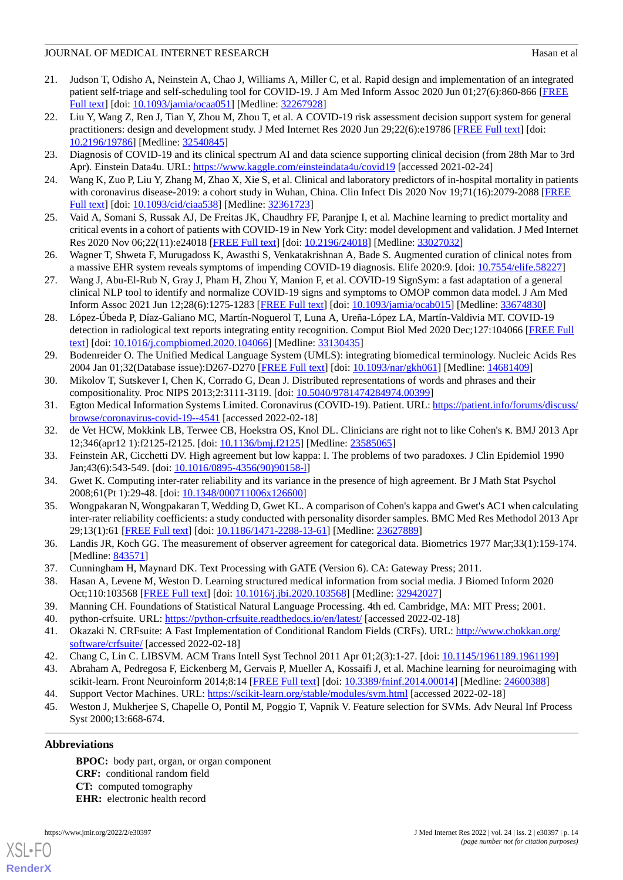- <span id="page-13-0"></span>21. Judson T, Odisho A, Neinstein A, Chao J, Williams A, Miller C, et al. Rapid design and implementation of an integrated patient self-triage and self-scheduling tool for COVID-19. J Am Med Inform Assoc 2020 Jun 01;27(6):860-866 [[FREE](http://europepmc.org/abstract/MED/32267928) [Full text\]](http://europepmc.org/abstract/MED/32267928) [doi: [10.1093/jamia/ocaa051\]](http://dx.doi.org/10.1093/jamia/ocaa051) [Medline: [32267928\]](http://www.ncbi.nlm.nih.gov/entrez/query.fcgi?cmd=Retrieve&db=PubMed&list_uids=32267928&dopt=Abstract)
- <span id="page-13-1"></span>22. Liu Y, Wang Z, Ren J, Tian Y, Zhou M, Zhou T, et al. A COVID-19 risk assessment decision support system for general practitioners: design and development study. J Med Internet Res 2020 Jun 29;22(6):e19786 [[FREE Full text](https://www.jmir.org/2020/6/e19786/)] [doi: [10.2196/19786\]](http://dx.doi.org/10.2196/19786) [Medline: [32540845\]](http://www.ncbi.nlm.nih.gov/entrez/query.fcgi?cmd=Retrieve&db=PubMed&list_uids=32540845&dopt=Abstract)
- <span id="page-13-3"></span><span id="page-13-2"></span>23. Diagnosis of COVID-19 and its clinical spectrum AI and data science supporting clinical decision (from 28th Mar to 3rd Apr). Einstein Data4u. URL: <https://www.kaggle.com/einsteindata4u/covid19> [accessed 2021-02-24]
- <span id="page-13-4"></span>24. Wang K, Zuo P, Liu Y, Zhang M, Zhao X, Xie S, et al. Clinical and laboratory predictors of in-hospital mortality in patients with coronavirus disease-2019: a cohort study in Wuhan, China. Clin Infect Dis 2020 Nov 19;71(16):2079-2088 [[FREE](http://europepmc.org/abstract/MED/32361723) [Full text\]](http://europepmc.org/abstract/MED/32361723) [doi: [10.1093/cid/ciaa538\]](http://dx.doi.org/10.1093/cid/ciaa538) [Medline: [32361723](http://www.ncbi.nlm.nih.gov/entrez/query.fcgi?cmd=Retrieve&db=PubMed&list_uids=32361723&dopt=Abstract)]
- <span id="page-13-5"></span>25. Vaid A, Somani S, Russak AJ, De Freitas JK, Chaudhry FF, Paranjpe I, et al. Machine learning to predict mortality and critical events in a cohort of patients with COVID-19 in New York City: model development and validation. J Med Internet Res 2020 Nov 06;22(11):e24018 [[FREE Full text](https://www.jmir.org/2020/11/e24018/)] [doi: [10.2196/24018\]](http://dx.doi.org/10.2196/24018) [Medline: [33027032](http://www.ncbi.nlm.nih.gov/entrez/query.fcgi?cmd=Retrieve&db=PubMed&list_uids=33027032&dopt=Abstract)]
- <span id="page-13-6"></span>26. Wagner T, Shweta F, Murugadoss K, Awasthi S, Venkatakrishnan A, Bade S. Augmented curation of clinical notes from a massive EHR system reveals symptoms of impending COVID-19 diagnosis. Elife 2020:9. [doi: [10.7554/elife.58227](http://dx.doi.org/10.7554/elife.58227)]
- <span id="page-13-7"></span>27. Wang J, Abu-El-Rub N, Gray J, Pham H, Zhou Y, Manion F, et al. COVID-19 SignSym: a fast adaptation of a general clinical NLP tool to identify and normalize COVID-19 signs and symptoms to OMOP common data model. J Am Med Inform Assoc 2021 Jun 12;28(6):1275-1283 [\[FREE Full text](http://europepmc.org/abstract/MED/33674830)] [doi: [10.1093/jamia/ocab015\]](http://dx.doi.org/10.1093/jamia/ocab015) [Medline: [33674830\]](http://www.ncbi.nlm.nih.gov/entrez/query.fcgi?cmd=Retrieve&db=PubMed&list_uids=33674830&dopt=Abstract)
- <span id="page-13-8"></span>28. López-Úbeda P, Díaz-Galiano MC, Martín-Noguerol T, Luna A, Ureña-López LA, Martín-Valdivia MT. COVID-19 detection in radiological text reports integrating entity recognition. Comput Biol Med 2020 Dec;127:104066 [[FREE Full](http://europepmc.org/abstract/MED/33130435) [text](http://europepmc.org/abstract/MED/33130435)] [doi: [10.1016/j.compbiomed.2020.104066](http://dx.doi.org/10.1016/j.compbiomed.2020.104066)] [Medline: [33130435](http://www.ncbi.nlm.nih.gov/entrez/query.fcgi?cmd=Retrieve&db=PubMed&list_uids=33130435&dopt=Abstract)]
- <span id="page-13-10"></span><span id="page-13-9"></span>29. Bodenreider O. The Unified Medical Language System (UMLS): integrating biomedical terminology. Nucleic Acids Res 2004 Jan 01;32(Database issue):D267-D270 [[FREE Full text](http://europepmc.org/abstract/MED/14681409)] [doi: [10.1093/nar/gkh061](http://dx.doi.org/10.1093/nar/gkh061)] [Medline: [14681409](http://www.ncbi.nlm.nih.gov/entrez/query.fcgi?cmd=Retrieve&db=PubMed&list_uids=14681409&dopt=Abstract)]
- <span id="page-13-11"></span>30. Mikolov T, Sutskever I, Chen K, Corrado G, Dean J. Distributed representations of words and phrases and their compositionality. Proc NIPS 2013;2:3111-3119. [doi: [10.5040/9781474284974.00399](http://dx.doi.org/10.5040/9781474284974.00399)]
- <span id="page-13-12"></span>31. Egton Medical Information Systems Limited. Coronavirus (COVID-19). Patient. URL: [https://patient.info/forums/discuss/](https://patient.info/forums/discuss/browse/coronavirus-covid-19--4541) [browse/coronavirus-covid-19--4541](https://patient.info/forums/discuss/browse/coronavirus-covid-19--4541) [accessed 2022-02-18]
- <span id="page-13-13"></span>32. de Vet HCW, Mokkink LB, Terwee CB, Hoekstra OS, Knol DL. Clinicians are right not to like Cohen's κ. BMJ 2013 Apr 12;346(apr12 1):f2125-f2125. [doi: [10.1136/bmj.f2125](http://dx.doi.org/10.1136/bmj.f2125)] [Medline: [23585065\]](http://www.ncbi.nlm.nih.gov/entrez/query.fcgi?cmd=Retrieve&db=PubMed&list_uids=23585065&dopt=Abstract)
- <span id="page-13-14"></span>33. Feinstein AR, Cicchetti DV. High agreement but low kappa: I. The problems of two paradoxes. J Clin Epidemiol 1990 Jan;43(6):543-549. [doi: [10.1016/0895-4356\(90\)90158-l](http://dx.doi.org/10.1016/0895-4356(90)90158-l)]
- <span id="page-13-15"></span>34. Gwet K. Computing inter-rater reliability and its variance in the presence of high agreement. Br J Math Stat Psychol 2008;61(Pt 1):29-48. [doi: [10.1348/000711006x126600\]](http://dx.doi.org/10.1348/000711006x126600)
- <span id="page-13-17"></span><span id="page-13-16"></span>35. Wongpakaran N, Wongpakaran T, Wedding D, Gwet KL. A comparison of Cohen's kappa and Gwet's AC1 when calculating inter-rater reliability coefficients: a study conducted with personality disorder samples. BMC Med Res Methodol 2013 Apr 29;13(1):61 [[FREE Full text\]](https://bmcmedresmethodol.biomedcentral.com/articles/10.1186/1471-2288-13-61) [doi: [10.1186/1471-2288-13-61](http://dx.doi.org/10.1186/1471-2288-13-61)] [Medline: [23627889](http://www.ncbi.nlm.nih.gov/entrez/query.fcgi?cmd=Retrieve&db=PubMed&list_uids=23627889&dopt=Abstract)]
- <span id="page-13-18"></span>36. Landis JR, Koch GG. The measurement of observer agreement for categorical data. Biometrics 1977 Mar;33(1):159-174. [Medline: [843571](http://www.ncbi.nlm.nih.gov/entrez/query.fcgi?cmd=Retrieve&db=PubMed&list_uids=843571&dopt=Abstract)]
- <span id="page-13-20"></span><span id="page-13-19"></span>37. Cunningham H, Maynard DK. Text Processing with GATE (Version 6). CA: Gateway Press; 2011.
- <span id="page-13-21"></span>38. Hasan A, Levene M, Weston D. Learning structured medical information from social media. J Biomed Inform 2020 Oct;110:103568 [\[FREE Full text\]](https://linkinghub.elsevier.com/retrieve/pii/S1532-0464(20)30198-2) [doi: [10.1016/j.jbi.2020.103568](http://dx.doi.org/10.1016/j.jbi.2020.103568)] [Medline: [32942027\]](http://www.ncbi.nlm.nih.gov/entrez/query.fcgi?cmd=Retrieve&db=PubMed&list_uids=32942027&dopt=Abstract)
- <span id="page-13-22"></span>39. Manning CH. Foundations of Statistical Natural Language Processing. 4th ed. Cambridge, MA: MIT Press; 2001.
- <span id="page-13-23"></span>40. python-crfsuite. URL: <https://python-crfsuite.readthedocs.io/en/latest/> [accessed 2022-02-18]
- <span id="page-13-24"></span>41. Okazaki N. CRFsuite: A Fast Implementation of Conditional Random Fields (CRFs). URL: [http://www.chokkan.org/](http://www.chokkan.org/software/crfsuite/) [software/crfsuite/](http://www.chokkan.org/software/crfsuite/) [accessed 2022-02-18]
- 42. Chang C, Lin C. LIBSVM. ACM Trans Intell Syst Technol 2011 Apr 01;2(3):1-27. [doi: [10.1145/1961189.1961199\]](http://dx.doi.org/10.1145/1961189.1961199)
- 43. Abraham A, Pedregosa F, Eickenberg M, Gervais P, Mueller A, Kossaifi J, et al. Machine learning for neuroimaging with scikit-learn. Front Neuroinform 2014;8:14 [[FREE Full text](https://doi.org/10.3389/fninf.2014.00014)] [doi: [10.3389/fninf.2014.00014](http://dx.doi.org/10.3389/fninf.2014.00014)] [Medline: [24600388\]](http://www.ncbi.nlm.nih.gov/entrez/query.fcgi?cmd=Retrieve&db=PubMed&list_uids=24600388&dopt=Abstract)
- 44. Support Vector Machines. URL:<https://scikit-learn.org/stable/modules/svm.html> [accessed 2022-02-18]
- 45. Weston J, Mukherjee S, Chapelle O, Pontil M, Poggio T, Vapnik V. Feature selection for SVMs. Adv Neural Inf Process Syst 2000;13:668-674.

### **Abbreviations**

[XSL](http://www.w3.org/Style/XSL)•FO **[RenderX](http://www.renderx.com/)**

**BPOC:** body part, organ, or organ component **CRF:** conditional random field **CT:** computed tomography **EHR:** electronic health record